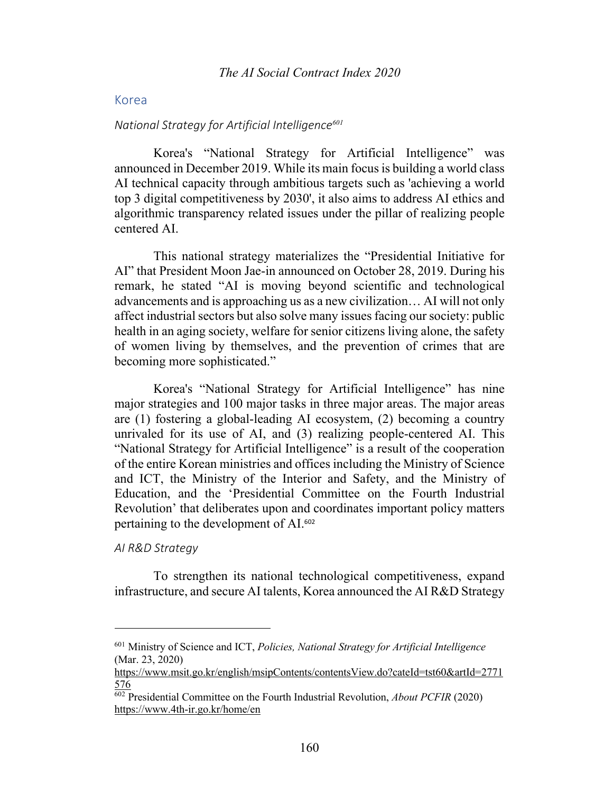## Korea

#### *National Strategy for Artificial Intelligence<sup>601</sup>*

Korea's "National Strategy for Artificial Intelligence" was announced in December 2019. While its main focus is building a world class AI technical capacity through ambitious targets such as 'achieving a world top 3 digital competitiveness by 2030', it also aims to address AI ethics and algorithmic transparency related issues under the pillar of realizing people centered AI.

This national strategy materializes the "Presidential Initiative for AI" that President Moon Jae-in announced on October 28, 2019. During his remark, he stated "AI is moving beyond scientific and technological advancements and is approaching us as a new civilization… AI will not only affect industrial sectors but also solve many issues facing our society: public health in an aging society, welfare for senior citizens living alone, the safety of women living by themselves, and the prevention of crimes that are becoming more sophisticated."

Korea's "National Strategy for Artificial Intelligence" has nine major strategies and 100 major tasks in three major areas. The major areas are (1) fostering a global-leading AI ecosystem, (2) becoming a country unrivaled for its use of AI, and (3) realizing people-centered AI. This "National Strategy for Artificial Intelligence" is a result of the cooperation of the entire Korean ministries and offices including the Ministry of Science and ICT, the Ministry of the Interior and Safety, and the Ministry of Education, and the 'Presidential Committee on the Fourth Industrial Revolution' that deliberates upon and coordinates important policy matters pertaining to the development of AI. 602

*AI R&D Strategy*

To strengthen its national technological competitiveness, expand infrastructure, and secure AI talents, Korea announced the AI R&D Strategy

<sup>601</sup> Ministry of Science and ICT, *Policies, National Strategy for Artificial Intelligence* (Mar. 23, 2020)

https://www.msit.go.kr/english/msipContents/contentsView.do?cateId=tst60&artId=2771 576

<sup>602</sup> Presidential Committee on the Fourth Industrial Revolution, *About PCFIR* (2020) https://www.4th-ir.go.kr/home/en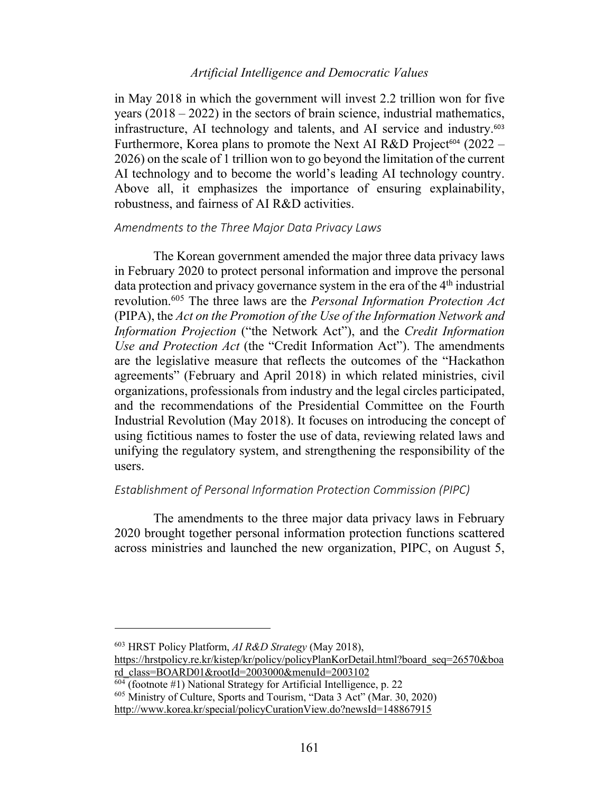## *Artificial Intelligence and Democratic Values*

in May 2018 in which the government will invest 2.2 trillion won for five years (2018 – 2022) in the sectors of brain science, industrial mathematics, infrastructure, AI technology and talents, and AI service and industry.<sup>603</sup> Furthermore, Korea plans to promote the Next AI R&D Project<sup>604</sup> (2022 – 2026) on the scale of 1 trillion won to go beyond the limitation of the current AI technology and to become the world's leading AI technology country. Above all, it emphasizes the importance of ensuring explainability, robustness, and fairness of AI R&D activities.

# *Amendments to the Three Major Data Privacy Laws*

The Korean government amended the major three data privacy laws in February 2020 to protect personal information and improve the personal data protection and privacy governance system in the era of the 4<sup>th</sup> industrial revolution.605 The three laws are the *Personal Information Protection Act* (PIPA), the *Act on the Promotion of the Use of the Information Network and Information Projection* ("the Network Act"), and the *Credit Information Use and Protection Act* (the "Credit Information Act"). The amendments are the legislative measure that reflects the outcomes of the "Hackathon agreements" (February and April 2018) in which related ministries, civil organizations, professionals from industry and the legal circles participated, and the recommendations of the Presidential Committee on the Fourth Industrial Revolution (May 2018). It focuses on introducing the concept of using fictitious names to foster the use of data, reviewing related laws and unifying the regulatory system, and strengthening the responsibility of the users.

## *Establishment of Personal Information Protection Commission (PIPC)*

The amendments to the three major data privacy laws in February 2020 brought together personal information protection functions scattered across ministries and launched the new organization, PIPC, on August 5,

<sup>603</sup> HRST Policy Platform, *AI R&D Strategy* (May 2018),

https://hrstpolicy.re.kr/kistep/kr/policy/policyPlanKorDetail.html?board\_seq=26570&boa rd\_class=BOARD01&rootId=2003000&menuId=2003102

 $\frac{604}{604}$  (footnote #1) National Strategy for Artificial Intelligence, p. 22

<sup>605</sup> Ministry of Culture, Sports and Tourism, "Data 3 Act" (Mar. 30, 2020)

http://www.korea.kr/special/policyCurationView.do?newsId=148867915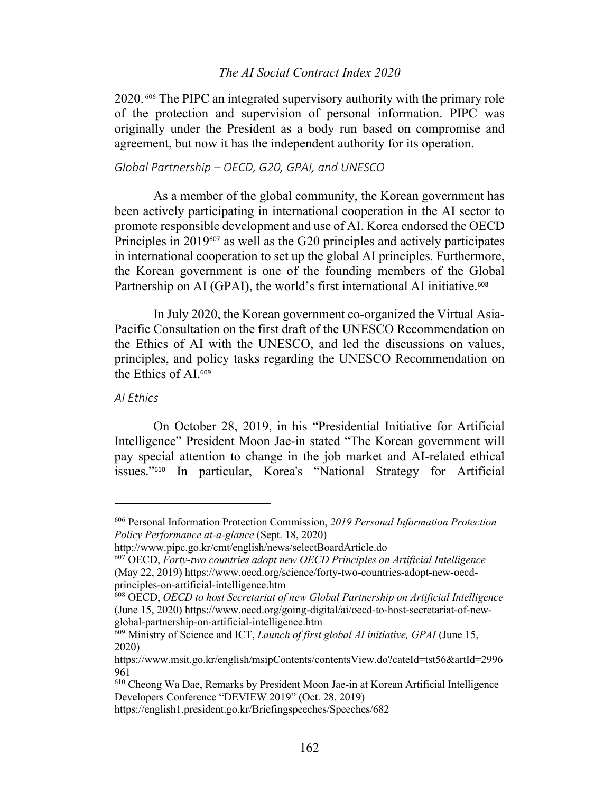## *The AI Social Contract Index 2020*

2020. <sup>606</sup> The PIPC an integrated supervisory authority with the primary role of the protection and supervision of personal information. PIPC was originally under the President as a body run based on compromise and agreement, but now it has the independent authority for its operation.

## *Global Partnership – OECD, G20, GPAI, and UNESCO*

As a member of the global community, the Korean government has been actively participating in international cooperation in the AI sector to promote responsible development and use of AI. Korea endorsed the OECD Principles in 2019<sup>607</sup> as well as the G20 principles and actively participates in international cooperation to set up the global AI principles. Furthermore, the Korean government is one of the founding members of the Global Partnership on AI (GPAI), the world's first international AI initiative.<sup>608</sup>

In July 2020, the Korean government co-organized the Virtual Asia-Pacific Consultation on the first draft of the UNESCO Recommendation on the Ethics of AI with the UNESCO, and led the discussions on values, principles, and policy tasks regarding the UNESCO Recommendation on the Ethics of AI.<sup>609</sup>

### *AI Ethics*

On October 28, 2019, in his "Presidential Initiative for Artificial Intelligence" President Moon Jae-in stated "The Korean government will pay special attention to change in the job market and AI-related ethical issues."<sup>610</sup> In particular, Korea's "National Strategy for Artificial

<sup>606</sup> Personal Information Protection Commission, *2019 Personal Information Protection Policy Performance at-a-glance* (Sept. 18, 2020)

http://www.pipc.go.kr/cmt/english/news/selectBoardArticle.do

<sup>607</sup> OECD, *Forty-two countries adopt new OECD Principles on Artificial Intelligence* (May 22, 2019) https://www.oecd.org/science/forty-two-countries-adopt-new-oecdprinciples-on-artificial-intelligence.htm

<sup>608</sup> OECD, *OECD to host Secretariat of new Global Partnership on Artificial Intelligence* (June 15, 2020) https://www.oecd.org/going-digital/ai/oecd-to-host-secretariat-of-newglobal-partnership-on-artificial-intelligence.htm

<sup>609</sup> Ministry of Science and ICT, *Launch of first global AI initiative, GPAI* (June 15, 2020)

https://www.msit.go.kr/english/msipContents/contentsView.do?cateId=tst56&artId=2996 961

<sup>610</sup> Cheong Wa Dae, Remarks by President Moon Jae-in at Korean Artificial Intelligence Developers Conference "DEVIEW 2019" (Oct. 28, 2019)

https://english1.president.go.kr/Briefingspeeches/Speeches/682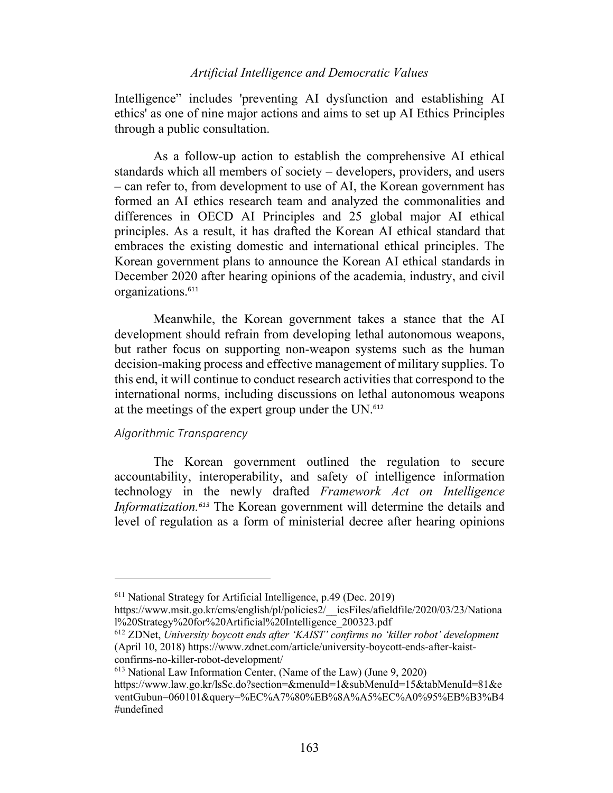# *Artificial Intelligence and Democratic Values*

Intelligence" includes 'preventing AI dysfunction and establishing AI ethics' as one of nine major actions and aims to set up AI Ethics Principles through a public consultation.

As a follow-up action to establish the comprehensive AI ethical standards which all members of society – developers, providers, and users – can refer to, from development to use of AI, the Korean government has formed an AI ethics research team and analyzed the commonalities and differences in OECD AI Principles and 25 global major AI ethical principles. As a result, it has drafted the Korean AI ethical standard that embraces the existing domestic and international ethical principles. The Korean government plans to announce the Korean AI ethical standards in December 2020 after hearing opinions of the academia, industry, and civil organizations.<sup>611</sup>

Meanwhile, the Korean government takes a stance that the AI development should refrain from developing lethal autonomous weapons, but rather focus on supporting non-weapon systems such as the human decision-making process and effective management of military supplies. To this end, it will continue to conduct research activities that correspond to the international norms, including discussions on lethal autonomous weapons at the meetings of the expert group under the UN.<sup>612</sup>

#### *Algorithmic Transparency*

The Korean government outlined the regulation to secure accountability, interoperability, and safety of intelligence information technology in the newly drafted *Framework Act on Intelligence Informatization.<sup>613</sup>* The Korean government will determine the details and level of regulation as a form of ministerial decree after hearing opinions

 $611$  National Strategy for Artificial Intelligence, p.49 (Dec. 2019)

https://www.msit.go.kr/cms/english/pl/policies2/\_\_icsFiles/afieldfile/2020/03/23/Nationa l%20Strategy%20for%20Artificial%20Intelligence\_200323.pdf

<sup>612</sup> ZDNet, *University boycott ends after 'KAIST' confirms no 'killer robot' development* (April 10, 2018) https://www.zdnet.com/article/university-boycott-ends-after-kaistconfirms-no-killer-robot-development/

<sup>613</sup> National Law Information Center, (Name of the Law) (June 9, 2020)

https://www.law.go.kr/lsSc.do?section=&menuId=1&subMenuId=15&tabMenuId=81&e ventGubun=060101&query=%EC%A7%80%EB%8A%A5%EC%A0%95%EB%B3%B4 #undefined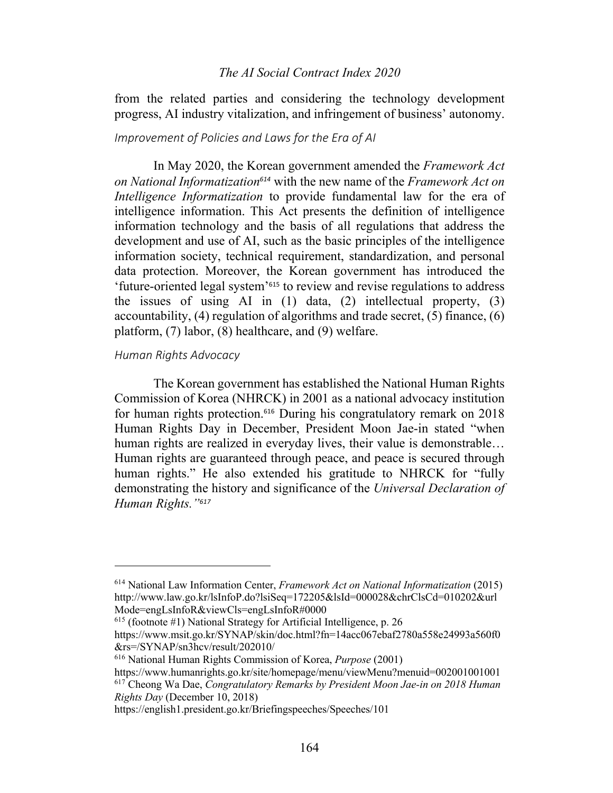## *The AI Social Contract Index 2020*

from the related parties and considering the technology development progress, AI industry vitalization, and infringement of business' autonomy.

### *Improvement of Policies and Laws for the Era of AI*

In May 2020, the Korean government amended the *Framework Act on National Informatization<sup>614</sup>* with the new name of the *Framework Act on Intelligence Informatization* to provide fundamental law for the era of intelligence information. This Act presents the definition of intelligence information technology and the basis of all regulations that address the development and use of AI, such as the basic principles of the intelligence information society, technical requirement, standardization, and personal data protection. Moreover, the Korean government has introduced the 'future-oriented legal system'<sup>615</sup> to review and revise regulations to address the issues of using AI in (1) data, (2) intellectual property, (3) accountability, (4) regulation of algorithms and trade secret, (5) finance, (6) platform, (7) labor, (8) healthcare, and (9) welfare.

#### *Human Rights Advocacy*

The Korean government has established the National Human Rights Commission of Korea (NHRCK) in 2001 as a national advocacy institution for human rights protection.<sup>616</sup> During his congratulatory remark on 2018 Human Rights Day in December, President Moon Jae-in stated "when human rights are realized in everyday lives, their value is demonstrable… Human rights are guaranteed through peace, and peace is secured through human rights." He also extended his gratitude to NHRCK for "fully demonstrating the history and significance of the *Universal Declaration of Human Rights."<sup>617</sup>*

 $615$  (footnote #1) National Strategy for Artificial Intelligence, p. 26

*Rights Day* (December 10, 2018)

<sup>614</sup> National Law Information Center, *Framework Act on National Informatization* (2015) http://www.law.go.kr/lsInfoP.do?lsiSeq=172205&lsId=000028&chrClsCd=010202&url Mode=engLsInfoR&viewCls=engLsInfoR#0000

https://www.msit.go.kr/SYNAP/skin/doc.html?fn=14acc067ebaf2780a558e24993a560f0 &rs=/SYNAP/sn3hcv/result/202010/

<sup>616</sup> National Human Rights Commission of Korea, *Purpose* (2001)

https://www.humanrights.go.kr/site/homepage/menu/viewMenu?menuid=002001001001 <sup>617</sup> Cheong Wa Dae, *Congratulatory Remarks by President Moon Jae-in on 2018 Human* 

https://english1.president.go.kr/Briefingspeeches/Speeches/101